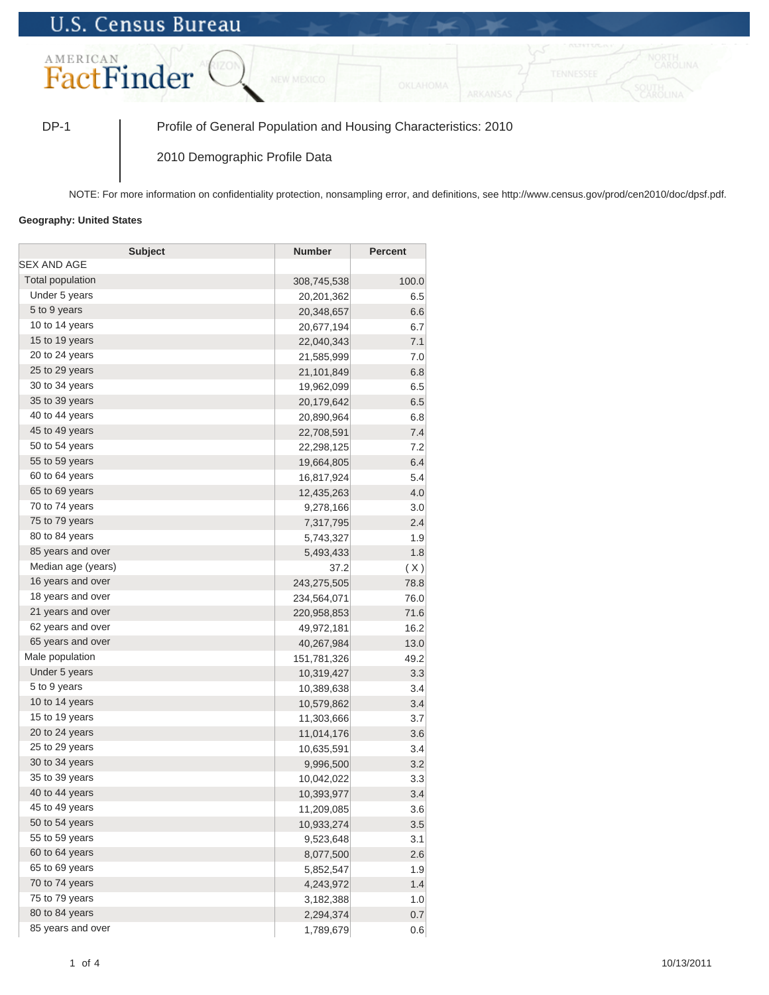## **U.S. Census Bureau**



DP-1 Profile of General Population and Housing Characteristics: 2010

2010 Demographic Profile Data

NOTE: For more information on confidentiality protection, nonsampling error, and definitions, see http://www.census.gov/prod/cen2010/doc/dpsf.pdf.

## **Geography: United States**

| <b>Subject</b>          | <b>Number</b> | <b>Percent</b> |
|-------------------------|---------------|----------------|
| SEX AND AGE             |               |                |
| <b>Total population</b> | 308,745,538   | 100.0          |
| Under 5 years           | 20,201,362    | 6.5            |
| 5 to 9 years            | 20,348,657    | 6.6            |
| 10 to 14 years          | 20,677,194    | 6.7            |
| 15 to 19 years          | 22,040,343    | 7.1            |
| 20 to 24 years          | 21,585,999    | 7.0            |
| 25 to 29 years          | 21,101,849    | 6.8            |
| 30 to 34 years          | 19,962,099    | 6.5            |
| 35 to 39 years          | 20,179,642    | 6.5            |
| 40 to 44 years          | 20,890,964    | 6.8            |
| 45 to 49 years          | 22,708,591    | 7.4            |
| 50 to 54 years          | 22,298,125    | 7.2            |
| 55 to 59 years          | 19,664,805    | 6.4            |
| 60 to 64 years          | 16,817,924    | 5.4            |
| 65 to 69 years          | 12,435,263    | 4.0            |
| 70 to 74 years          | 9,278,166     | 3.0            |
| 75 to 79 years          | 7,317,795     | 2.4            |
| 80 to 84 years          | 5,743,327     | 1.9            |
| 85 years and over       | 5,493,433     | 1.8            |
| Median age (years)      | 37.2          | (X)            |
| 16 years and over       | 243,275,505   | 78.8           |
| 18 years and over       | 234,564,071   | 76.0           |
| 21 years and over       | 220,958,853   | 71.6           |
| 62 years and over       | 49,972,181    | 16.2           |
| 65 years and over       | 40,267,984    | 13.0           |
| Male population         | 151,781,326   | 49.2           |
| Under 5 years           | 10,319,427    | 3.3            |
| 5 to 9 years            | 10,389,638    | 3.4            |
| 10 to 14 years          | 10,579,862    | 3.4            |
| 15 to 19 years          | 11,303,666    | 3.7            |
| 20 to 24 years          | 11,014,176    | 3.6            |
| 25 to 29 years          | 10,635,591    | 3.4            |
| 30 to 34 years          | 9,996,500     | 3.2            |
| 35 to 39 years          | 10,042,022    | 3.3            |
| 40 to 44 years          | 10,393,977    | 3.4            |
| 45 to 49 years          | 11,209,085    | 3.6            |
| 50 to 54 years          | 10,933,274    | 3.5            |
| 55 to 59 years          | 9,523,648     | 3.1            |
| 60 to 64 years          | 8,077,500     | 2.6            |
| 65 to 69 years          | 5,852,547     | 1.9            |
| 70 to 74 years          | 4,243,972     | 1.4            |
| 75 to 79 years          | 3,182,388     | 1.0            |
| 80 to 84 years          | 2,294,374     | 0.7            |
| 85 years and over       | 1,789,679     | 0.6            |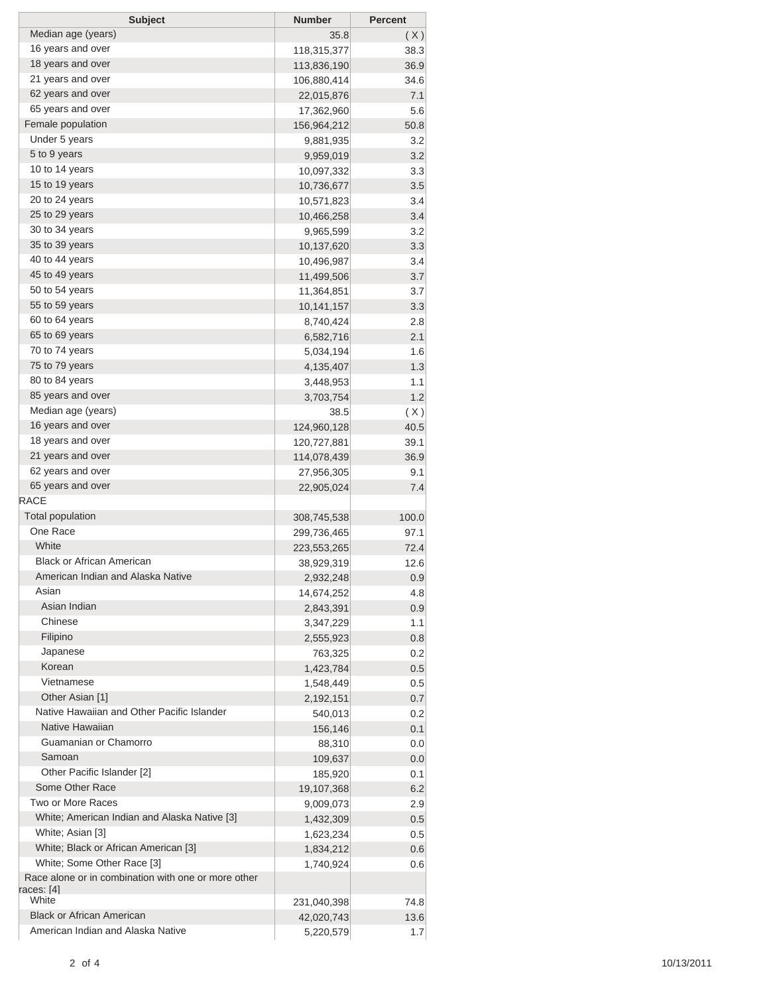| <b>Subject</b>                                                             | <b>Number</b> | <b>Percent</b> |
|----------------------------------------------------------------------------|---------------|----------------|
| Median age (years)                                                         | 35.8          | (X)            |
| 16 years and over                                                          | 118,315,377   | 38.3           |
| 18 years and over                                                          | 113,836,190   | 36.9           |
| 21 years and over                                                          | 106,880,414   | 34.6           |
| 62 years and over                                                          | 22,015,876    | 7.1            |
| 65 years and over                                                          | 17,362,960    | 5.6            |
| Female population                                                          | 156,964,212   | 50.8           |
| Under 5 years                                                              | 9,881,935     | 3.2            |
| 5 to 9 years                                                               | 9,959,019     | 3.2            |
| 10 to 14 years                                                             | 10,097,332    | 3.3            |
| 15 to 19 years                                                             | 10,736,677    | 3.5            |
| 20 to 24 years                                                             | 10,571,823    | 3.4            |
| 25 to 29 years                                                             | 10,466,258    | 3.4            |
| 30 to 34 years                                                             | 9,965,599     | 3.2            |
| 35 to 39 years                                                             | 10,137,620    | 3.3            |
| 40 to 44 years                                                             | 10,496,987    | 3.4            |
| 45 to 49 years                                                             | 11,499,506    | 3.7            |
| 50 to 54 years                                                             | 11,364,851    | 3.7            |
| 55 to 59 years                                                             | 10,141,157    | 3.3            |
| 60 to 64 years                                                             | 8,740,424     | 2.8            |
| 65 to 69 years                                                             | 6,582,716     | 2.1            |
| 70 to 74 years                                                             | 5,034,194     | 1.6            |
| 75 to 79 years                                                             | 4,135,407     | 1.3            |
| 80 to 84 years                                                             | 3,448,953     | 1.1            |
| 85 years and over                                                          | 3,703,754     | 1.2            |
| Median age (years)                                                         | 38.5          | (X)            |
| 16 years and over                                                          | 124,960,128   | 40.5           |
| 18 years and over                                                          | 120,727,881   | 39.1           |
| 21 years and over                                                          | 114,078,439   | 36.9           |
| 62 years and over                                                          | 27,956,305    | 9.1            |
| 65 years and over                                                          | 22,905,024    | 7.4            |
| <b>RACE</b>                                                                |               |                |
| <b>Total population</b>                                                    | 308,745,538   | 100.0          |
| One Race                                                                   | 299,736,465   | 97.1           |
| White                                                                      | 223,553,265   | 72.4           |
| <b>Black or African American</b>                                           | 38,929,319    | 12.6           |
| American Indian and Alaska Native                                          | 2,932,248     | 0.9            |
| Asian                                                                      | 14,674,252    | 4.8            |
| Asian Indian                                                               | 2,843,391     | 0.9            |
| Chinese                                                                    | 3,347,229     | 1.1            |
| Filipino                                                                   | 2,555,923     | 0.8            |
| Japanese                                                                   | 763,325       | 0.2            |
| Korean                                                                     | 1,423,784     | 0.5            |
| Vietnamese                                                                 | 1,548,449     | 0.5            |
| Other Asian [1]                                                            | 2,192,151     | 0.7            |
| Native Hawaiian and Other Pacific Islander                                 | 540,013       | 0.2            |
| Native Hawaiian                                                            | 156,146       | 0.1            |
| Guamanian or Chamorro                                                      | 88,310        | 0.0            |
| Samoan                                                                     | 109,637       | 0.0            |
| Other Pacific Islander [2]                                                 | 185,920       | 0.1            |
| Some Other Race                                                            | 19,107,368    | 6.2            |
| Two or More Races                                                          | 9,009,073     | 2.9            |
| White; American Indian and Alaska Native [3]                               | 1,432,309     | 0.5            |
| White; Asian [3]                                                           | 1,623,234     | 0.5            |
| White; Black or African American [3]                                       | 1,834,212     | 0.6            |
| White; Some Other Race [3]                                                 | 1,740,924     | 0.6            |
| Race alone or in combination with one or more other<br>races: [4]<br>White |               |                |
| <b>Black or African American</b>                                           | 231,040,398   | 74.8           |
| American Indian and Alaska Native                                          | 42,020,743    | 13.6           |
|                                                                            | 5,220,579     | 1.7            |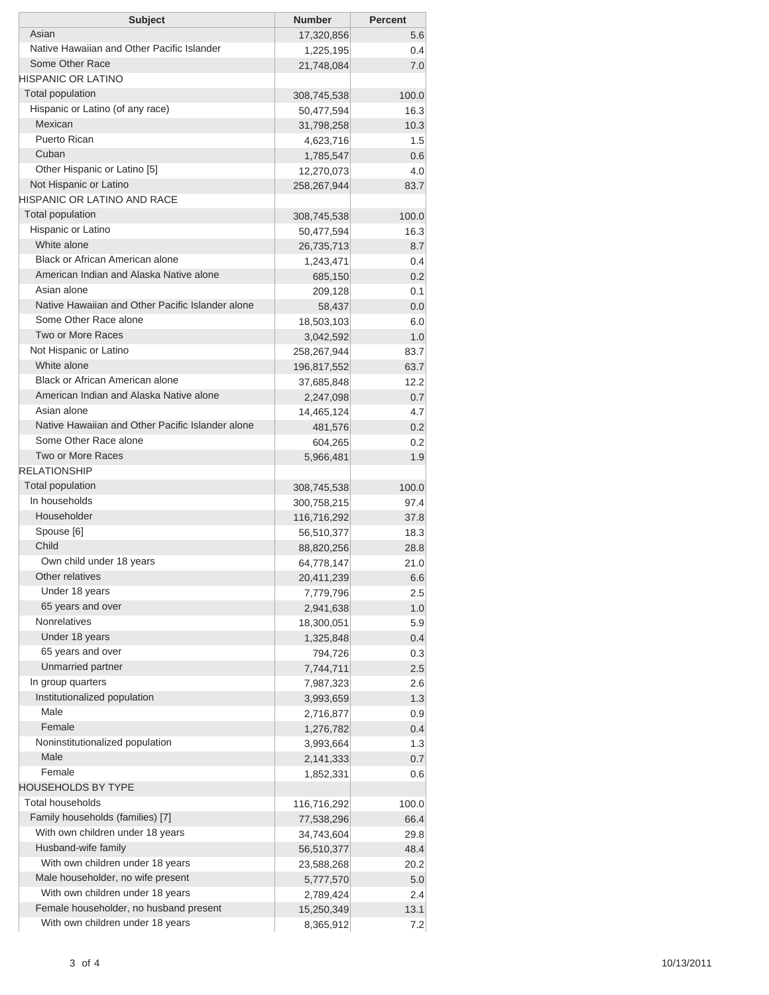| Native Hawaiian and Other Pacific Islander<br>0.4<br>1,225,195<br>Some Other Race<br>21,748,084<br>7.0<br><b>HISPANIC OR LATINO</b><br>Total population<br>100.0<br>308,745,538<br>Hispanic or Latino (of any race)<br>16.3<br>50,477,594<br>Mexican<br>10.3<br>31,798,258<br>Puerto Rican<br>1.5<br>4,623,716<br>Cuban<br>1,785,547<br>0.6<br>Other Hispanic or Latino [5]<br>4.0<br>12,270,073<br>Not Hispanic or Latino<br>258,267,944<br>83.7<br>HISPANIC OR LATINO AND RACE<br>Total population<br>100.0<br>308,745,538<br>Hispanic or Latino<br>16.3<br>50,477,594<br>White alone<br>8.7<br>26,735,713<br>Black or African American alone<br>0.4<br>1,243,471<br>American Indian and Alaska Native alone<br>0.2<br>685,150<br>Asian alone<br>0.1<br>209,128<br>Native Hawaiian and Other Pacific Islander alone<br>0.0<br>58,437<br>Some Other Race alone<br>6.0<br>18,503,103<br>Two or More Races<br>1.0<br>3,042,592<br>Not Hispanic or Latino<br>83.7<br>258,267,944<br>White alone<br>63.7<br>196,817,552<br><b>Black or African American alone</b><br>12.2<br>37,685,848<br>American Indian and Alaska Native alone<br>0.7<br>2,247,098<br>Asian alone<br>4.7<br>14,465,124<br>Native Hawaiian and Other Pacific Islander alone<br>0.2<br>481,576<br>Some Other Race alone<br>0.2<br>604,265<br>Two or More Races<br>1.9<br>5,966,481<br><b>RELATIONSHIP</b><br>Total population<br>100.0<br>308,745,538<br>In households<br>97.4<br>300,758,215<br>Householder<br>37.8<br>116,716,292<br>Spouse [6]<br>18.3<br>56,510,377<br>Child<br>28.8<br>88,820,256<br>Own child under 18 years<br>64,778,147<br>21.0<br>Other relatives<br>20,411,239<br>6.6<br>Under 18 years<br>2.5<br>7,779,796<br>65 years and over<br>1.0<br>2,941,638<br><b>Nonrelatives</b><br>5.9<br>18,300,051<br>Under 18 years<br>0.4<br>1,325,848<br>65 years and over<br>0.3<br>794,726<br>Unmarried partner<br>7,744,711<br>2.5<br>In group quarters<br>2.6<br>7,987,323<br>Institutionalized population<br>1.3<br>3,993,659<br>Male<br>0.9<br>2,716,877<br>Female<br>0.4<br>1,276,782<br>Noninstitutionalized population<br>1.3<br>3,993,664<br>Male<br>0.7<br>2,141,333<br>Female<br>1,852,331<br>0.6<br><b>HOUSEHOLDS BY TYPE</b><br><b>Total households</b><br>116,716,292<br>100.0<br>Family households (families) [7]<br>77,538,296<br>66.4<br>With own children under 18 years<br>34,743,604<br>29.8<br>Husband-wife family<br>48.4<br>56,510,377<br>With own children under 18 years<br>20.2<br>23,588,268<br>Male householder, no wife present<br>5.0<br>5,777,570<br>With own children under 18 years<br>2.4<br>2,789,424<br>Female householder, no husband present<br>15,250,349<br>13.1 | <b>Subject</b>                   | <b>Number</b> | <b>Percent</b> |
|--------------------------------------------------------------------------------------------------------------------------------------------------------------------------------------------------------------------------------------------------------------------------------------------------------------------------------------------------------------------------------------------------------------------------------------------------------------------------------------------------------------------------------------------------------------------------------------------------------------------------------------------------------------------------------------------------------------------------------------------------------------------------------------------------------------------------------------------------------------------------------------------------------------------------------------------------------------------------------------------------------------------------------------------------------------------------------------------------------------------------------------------------------------------------------------------------------------------------------------------------------------------------------------------------------------------------------------------------------------------------------------------------------------------------------------------------------------------------------------------------------------------------------------------------------------------------------------------------------------------------------------------------------------------------------------------------------------------------------------------------------------------------------------------------------------------------------------------------------------------------------------------------------------------------------------------------------------------------------------------------------------------------------------------------------------------------------------------------------------------------------------------------------------------------------------------------------------------------------------------------------------------------------------------------------------------------------------------------------------------------------------------------------------------------------------------------------------------------------------------------------------------------------------------------------------------------------------------------------------------------------------------------------------------------------------|----------------------------------|---------------|----------------|
|                                                                                                                                                                                                                                                                                                                                                                                                                                                                                                                                                                                                                                                                                                                                                                                                                                                                                                                                                                                                                                                                                                                                                                                                                                                                                                                                                                                                                                                                                                                                                                                                                                                                                                                                                                                                                                                                                                                                                                                                                                                                                                                                                                                                                                                                                                                                                                                                                                                                                                                                                                                                                                                                                      | Asian                            | 17,320,856    | 5.6            |
|                                                                                                                                                                                                                                                                                                                                                                                                                                                                                                                                                                                                                                                                                                                                                                                                                                                                                                                                                                                                                                                                                                                                                                                                                                                                                                                                                                                                                                                                                                                                                                                                                                                                                                                                                                                                                                                                                                                                                                                                                                                                                                                                                                                                                                                                                                                                                                                                                                                                                                                                                                                                                                                                                      |                                  |               |                |
|                                                                                                                                                                                                                                                                                                                                                                                                                                                                                                                                                                                                                                                                                                                                                                                                                                                                                                                                                                                                                                                                                                                                                                                                                                                                                                                                                                                                                                                                                                                                                                                                                                                                                                                                                                                                                                                                                                                                                                                                                                                                                                                                                                                                                                                                                                                                                                                                                                                                                                                                                                                                                                                                                      |                                  |               |                |
|                                                                                                                                                                                                                                                                                                                                                                                                                                                                                                                                                                                                                                                                                                                                                                                                                                                                                                                                                                                                                                                                                                                                                                                                                                                                                                                                                                                                                                                                                                                                                                                                                                                                                                                                                                                                                                                                                                                                                                                                                                                                                                                                                                                                                                                                                                                                                                                                                                                                                                                                                                                                                                                                                      |                                  |               |                |
|                                                                                                                                                                                                                                                                                                                                                                                                                                                                                                                                                                                                                                                                                                                                                                                                                                                                                                                                                                                                                                                                                                                                                                                                                                                                                                                                                                                                                                                                                                                                                                                                                                                                                                                                                                                                                                                                                                                                                                                                                                                                                                                                                                                                                                                                                                                                                                                                                                                                                                                                                                                                                                                                                      |                                  |               |                |
|                                                                                                                                                                                                                                                                                                                                                                                                                                                                                                                                                                                                                                                                                                                                                                                                                                                                                                                                                                                                                                                                                                                                                                                                                                                                                                                                                                                                                                                                                                                                                                                                                                                                                                                                                                                                                                                                                                                                                                                                                                                                                                                                                                                                                                                                                                                                                                                                                                                                                                                                                                                                                                                                                      |                                  |               |                |
|                                                                                                                                                                                                                                                                                                                                                                                                                                                                                                                                                                                                                                                                                                                                                                                                                                                                                                                                                                                                                                                                                                                                                                                                                                                                                                                                                                                                                                                                                                                                                                                                                                                                                                                                                                                                                                                                                                                                                                                                                                                                                                                                                                                                                                                                                                                                                                                                                                                                                                                                                                                                                                                                                      |                                  |               |                |
|                                                                                                                                                                                                                                                                                                                                                                                                                                                                                                                                                                                                                                                                                                                                                                                                                                                                                                                                                                                                                                                                                                                                                                                                                                                                                                                                                                                                                                                                                                                                                                                                                                                                                                                                                                                                                                                                                                                                                                                                                                                                                                                                                                                                                                                                                                                                                                                                                                                                                                                                                                                                                                                                                      |                                  |               |                |
|                                                                                                                                                                                                                                                                                                                                                                                                                                                                                                                                                                                                                                                                                                                                                                                                                                                                                                                                                                                                                                                                                                                                                                                                                                                                                                                                                                                                                                                                                                                                                                                                                                                                                                                                                                                                                                                                                                                                                                                                                                                                                                                                                                                                                                                                                                                                                                                                                                                                                                                                                                                                                                                                                      |                                  |               |                |
|                                                                                                                                                                                                                                                                                                                                                                                                                                                                                                                                                                                                                                                                                                                                                                                                                                                                                                                                                                                                                                                                                                                                                                                                                                                                                                                                                                                                                                                                                                                                                                                                                                                                                                                                                                                                                                                                                                                                                                                                                                                                                                                                                                                                                                                                                                                                                                                                                                                                                                                                                                                                                                                                                      |                                  |               |                |
|                                                                                                                                                                                                                                                                                                                                                                                                                                                                                                                                                                                                                                                                                                                                                                                                                                                                                                                                                                                                                                                                                                                                                                                                                                                                                                                                                                                                                                                                                                                                                                                                                                                                                                                                                                                                                                                                                                                                                                                                                                                                                                                                                                                                                                                                                                                                                                                                                                                                                                                                                                                                                                                                                      |                                  |               |                |
|                                                                                                                                                                                                                                                                                                                                                                                                                                                                                                                                                                                                                                                                                                                                                                                                                                                                                                                                                                                                                                                                                                                                                                                                                                                                                                                                                                                                                                                                                                                                                                                                                                                                                                                                                                                                                                                                                                                                                                                                                                                                                                                                                                                                                                                                                                                                                                                                                                                                                                                                                                                                                                                                                      |                                  |               |                |
|                                                                                                                                                                                                                                                                                                                                                                                                                                                                                                                                                                                                                                                                                                                                                                                                                                                                                                                                                                                                                                                                                                                                                                                                                                                                                                                                                                                                                                                                                                                                                                                                                                                                                                                                                                                                                                                                                                                                                                                                                                                                                                                                                                                                                                                                                                                                                                                                                                                                                                                                                                                                                                                                                      |                                  |               |                |
|                                                                                                                                                                                                                                                                                                                                                                                                                                                                                                                                                                                                                                                                                                                                                                                                                                                                                                                                                                                                                                                                                                                                                                                                                                                                                                                                                                                                                                                                                                                                                                                                                                                                                                                                                                                                                                                                                                                                                                                                                                                                                                                                                                                                                                                                                                                                                                                                                                                                                                                                                                                                                                                                                      |                                  |               |                |
|                                                                                                                                                                                                                                                                                                                                                                                                                                                                                                                                                                                                                                                                                                                                                                                                                                                                                                                                                                                                                                                                                                                                                                                                                                                                                                                                                                                                                                                                                                                                                                                                                                                                                                                                                                                                                                                                                                                                                                                                                                                                                                                                                                                                                                                                                                                                                                                                                                                                                                                                                                                                                                                                                      |                                  |               |                |
|                                                                                                                                                                                                                                                                                                                                                                                                                                                                                                                                                                                                                                                                                                                                                                                                                                                                                                                                                                                                                                                                                                                                                                                                                                                                                                                                                                                                                                                                                                                                                                                                                                                                                                                                                                                                                                                                                                                                                                                                                                                                                                                                                                                                                                                                                                                                                                                                                                                                                                                                                                                                                                                                                      |                                  |               |                |
|                                                                                                                                                                                                                                                                                                                                                                                                                                                                                                                                                                                                                                                                                                                                                                                                                                                                                                                                                                                                                                                                                                                                                                                                                                                                                                                                                                                                                                                                                                                                                                                                                                                                                                                                                                                                                                                                                                                                                                                                                                                                                                                                                                                                                                                                                                                                                                                                                                                                                                                                                                                                                                                                                      |                                  |               |                |
|                                                                                                                                                                                                                                                                                                                                                                                                                                                                                                                                                                                                                                                                                                                                                                                                                                                                                                                                                                                                                                                                                                                                                                                                                                                                                                                                                                                                                                                                                                                                                                                                                                                                                                                                                                                                                                                                                                                                                                                                                                                                                                                                                                                                                                                                                                                                                                                                                                                                                                                                                                                                                                                                                      |                                  |               |                |
|                                                                                                                                                                                                                                                                                                                                                                                                                                                                                                                                                                                                                                                                                                                                                                                                                                                                                                                                                                                                                                                                                                                                                                                                                                                                                                                                                                                                                                                                                                                                                                                                                                                                                                                                                                                                                                                                                                                                                                                                                                                                                                                                                                                                                                                                                                                                                                                                                                                                                                                                                                                                                                                                                      |                                  |               |                |
|                                                                                                                                                                                                                                                                                                                                                                                                                                                                                                                                                                                                                                                                                                                                                                                                                                                                                                                                                                                                                                                                                                                                                                                                                                                                                                                                                                                                                                                                                                                                                                                                                                                                                                                                                                                                                                                                                                                                                                                                                                                                                                                                                                                                                                                                                                                                                                                                                                                                                                                                                                                                                                                                                      |                                  |               |                |
|                                                                                                                                                                                                                                                                                                                                                                                                                                                                                                                                                                                                                                                                                                                                                                                                                                                                                                                                                                                                                                                                                                                                                                                                                                                                                                                                                                                                                                                                                                                                                                                                                                                                                                                                                                                                                                                                                                                                                                                                                                                                                                                                                                                                                                                                                                                                                                                                                                                                                                                                                                                                                                                                                      |                                  |               |                |
|                                                                                                                                                                                                                                                                                                                                                                                                                                                                                                                                                                                                                                                                                                                                                                                                                                                                                                                                                                                                                                                                                                                                                                                                                                                                                                                                                                                                                                                                                                                                                                                                                                                                                                                                                                                                                                                                                                                                                                                                                                                                                                                                                                                                                                                                                                                                                                                                                                                                                                                                                                                                                                                                                      |                                  |               |                |
|                                                                                                                                                                                                                                                                                                                                                                                                                                                                                                                                                                                                                                                                                                                                                                                                                                                                                                                                                                                                                                                                                                                                                                                                                                                                                                                                                                                                                                                                                                                                                                                                                                                                                                                                                                                                                                                                                                                                                                                                                                                                                                                                                                                                                                                                                                                                                                                                                                                                                                                                                                                                                                                                                      |                                  |               |                |
|                                                                                                                                                                                                                                                                                                                                                                                                                                                                                                                                                                                                                                                                                                                                                                                                                                                                                                                                                                                                                                                                                                                                                                                                                                                                                                                                                                                                                                                                                                                                                                                                                                                                                                                                                                                                                                                                                                                                                                                                                                                                                                                                                                                                                                                                                                                                                                                                                                                                                                                                                                                                                                                                                      |                                  |               |                |
|                                                                                                                                                                                                                                                                                                                                                                                                                                                                                                                                                                                                                                                                                                                                                                                                                                                                                                                                                                                                                                                                                                                                                                                                                                                                                                                                                                                                                                                                                                                                                                                                                                                                                                                                                                                                                                                                                                                                                                                                                                                                                                                                                                                                                                                                                                                                                                                                                                                                                                                                                                                                                                                                                      |                                  |               |                |
|                                                                                                                                                                                                                                                                                                                                                                                                                                                                                                                                                                                                                                                                                                                                                                                                                                                                                                                                                                                                                                                                                                                                                                                                                                                                                                                                                                                                                                                                                                                                                                                                                                                                                                                                                                                                                                                                                                                                                                                                                                                                                                                                                                                                                                                                                                                                                                                                                                                                                                                                                                                                                                                                                      |                                  |               |                |
|                                                                                                                                                                                                                                                                                                                                                                                                                                                                                                                                                                                                                                                                                                                                                                                                                                                                                                                                                                                                                                                                                                                                                                                                                                                                                                                                                                                                                                                                                                                                                                                                                                                                                                                                                                                                                                                                                                                                                                                                                                                                                                                                                                                                                                                                                                                                                                                                                                                                                                                                                                                                                                                                                      |                                  |               |                |
|                                                                                                                                                                                                                                                                                                                                                                                                                                                                                                                                                                                                                                                                                                                                                                                                                                                                                                                                                                                                                                                                                                                                                                                                                                                                                                                                                                                                                                                                                                                                                                                                                                                                                                                                                                                                                                                                                                                                                                                                                                                                                                                                                                                                                                                                                                                                                                                                                                                                                                                                                                                                                                                                                      |                                  |               |                |
|                                                                                                                                                                                                                                                                                                                                                                                                                                                                                                                                                                                                                                                                                                                                                                                                                                                                                                                                                                                                                                                                                                                                                                                                                                                                                                                                                                                                                                                                                                                                                                                                                                                                                                                                                                                                                                                                                                                                                                                                                                                                                                                                                                                                                                                                                                                                                                                                                                                                                                                                                                                                                                                                                      |                                  |               |                |
|                                                                                                                                                                                                                                                                                                                                                                                                                                                                                                                                                                                                                                                                                                                                                                                                                                                                                                                                                                                                                                                                                                                                                                                                                                                                                                                                                                                                                                                                                                                                                                                                                                                                                                                                                                                                                                                                                                                                                                                                                                                                                                                                                                                                                                                                                                                                                                                                                                                                                                                                                                                                                                                                                      |                                  |               |                |
|                                                                                                                                                                                                                                                                                                                                                                                                                                                                                                                                                                                                                                                                                                                                                                                                                                                                                                                                                                                                                                                                                                                                                                                                                                                                                                                                                                                                                                                                                                                                                                                                                                                                                                                                                                                                                                                                                                                                                                                                                                                                                                                                                                                                                                                                                                                                                                                                                                                                                                                                                                                                                                                                                      |                                  |               |                |
|                                                                                                                                                                                                                                                                                                                                                                                                                                                                                                                                                                                                                                                                                                                                                                                                                                                                                                                                                                                                                                                                                                                                                                                                                                                                                                                                                                                                                                                                                                                                                                                                                                                                                                                                                                                                                                                                                                                                                                                                                                                                                                                                                                                                                                                                                                                                                                                                                                                                                                                                                                                                                                                                                      |                                  |               |                |
|                                                                                                                                                                                                                                                                                                                                                                                                                                                                                                                                                                                                                                                                                                                                                                                                                                                                                                                                                                                                                                                                                                                                                                                                                                                                                                                                                                                                                                                                                                                                                                                                                                                                                                                                                                                                                                                                                                                                                                                                                                                                                                                                                                                                                                                                                                                                                                                                                                                                                                                                                                                                                                                                                      |                                  |               |                |
|                                                                                                                                                                                                                                                                                                                                                                                                                                                                                                                                                                                                                                                                                                                                                                                                                                                                                                                                                                                                                                                                                                                                                                                                                                                                                                                                                                                                                                                                                                                                                                                                                                                                                                                                                                                                                                                                                                                                                                                                                                                                                                                                                                                                                                                                                                                                                                                                                                                                                                                                                                                                                                                                                      |                                  |               |                |
|                                                                                                                                                                                                                                                                                                                                                                                                                                                                                                                                                                                                                                                                                                                                                                                                                                                                                                                                                                                                                                                                                                                                                                                                                                                                                                                                                                                                                                                                                                                                                                                                                                                                                                                                                                                                                                                                                                                                                                                                                                                                                                                                                                                                                                                                                                                                                                                                                                                                                                                                                                                                                                                                                      |                                  |               |                |
|                                                                                                                                                                                                                                                                                                                                                                                                                                                                                                                                                                                                                                                                                                                                                                                                                                                                                                                                                                                                                                                                                                                                                                                                                                                                                                                                                                                                                                                                                                                                                                                                                                                                                                                                                                                                                                                                                                                                                                                                                                                                                                                                                                                                                                                                                                                                                                                                                                                                                                                                                                                                                                                                                      |                                  |               |                |
|                                                                                                                                                                                                                                                                                                                                                                                                                                                                                                                                                                                                                                                                                                                                                                                                                                                                                                                                                                                                                                                                                                                                                                                                                                                                                                                                                                                                                                                                                                                                                                                                                                                                                                                                                                                                                                                                                                                                                                                                                                                                                                                                                                                                                                                                                                                                                                                                                                                                                                                                                                                                                                                                                      |                                  |               |                |
|                                                                                                                                                                                                                                                                                                                                                                                                                                                                                                                                                                                                                                                                                                                                                                                                                                                                                                                                                                                                                                                                                                                                                                                                                                                                                                                                                                                                                                                                                                                                                                                                                                                                                                                                                                                                                                                                                                                                                                                                                                                                                                                                                                                                                                                                                                                                                                                                                                                                                                                                                                                                                                                                                      |                                  |               |                |
|                                                                                                                                                                                                                                                                                                                                                                                                                                                                                                                                                                                                                                                                                                                                                                                                                                                                                                                                                                                                                                                                                                                                                                                                                                                                                                                                                                                                                                                                                                                                                                                                                                                                                                                                                                                                                                                                                                                                                                                                                                                                                                                                                                                                                                                                                                                                                                                                                                                                                                                                                                                                                                                                                      |                                  |               |                |
|                                                                                                                                                                                                                                                                                                                                                                                                                                                                                                                                                                                                                                                                                                                                                                                                                                                                                                                                                                                                                                                                                                                                                                                                                                                                                                                                                                                                                                                                                                                                                                                                                                                                                                                                                                                                                                                                                                                                                                                                                                                                                                                                                                                                                                                                                                                                                                                                                                                                                                                                                                                                                                                                                      |                                  |               |                |
|                                                                                                                                                                                                                                                                                                                                                                                                                                                                                                                                                                                                                                                                                                                                                                                                                                                                                                                                                                                                                                                                                                                                                                                                                                                                                                                                                                                                                                                                                                                                                                                                                                                                                                                                                                                                                                                                                                                                                                                                                                                                                                                                                                                                                                                                                                                                                                                                                                                                                                                                                                                                                                                                                      |                                  |               |                |
|                                                                                                                                                                                                                                                                                                                                                                                                                                                                                                                                                                                                                                                                                                                                                                                                                                                                                                                                                                                                                                                                                                                                                                                                                                                                                                                                                                                                                                                                                                                                                                                                                                                                                                                                                                                                                                                                                                                                                                                                                                                                                                                                                                                                                                                                                                                                                                                                                                                                                                                                                                                                                                                                                      |                                  |               |                |
|                                                                                                                                                                                                                                                                                                                                                                                                                                                                                                                                                                                                                                                                                                                                                                                                                                                                                                                                                                                                                                                                                                                                                                                                                                                                                                                                                                                                                                                                                                                                                                                                                                                                                                                                                                                                                                                                                                                                                                                                                                                                                                                                                                                                                                                                                                                                                                                                                                                                                                                                                                                                                                                                                      |                                  |               |                |
|                                                                                                                                                                                                                                                                                                                                                                                                                                                                                                                                                                                                                                                                                                                                                                                                                                                                                                                                                                                                                                                                                                                                                                                                                                                                                                                                                                                                                                                                                                                                                                                                                                                                                                                                                                                                                                                                                                                                                                                                                                                                                                                                                                                                                                                                                                                                                                                                                                                                                                                                                                                                                                                                                      |                                  |               |                |
|                                                                                                                                                                                                                                                                                                                                                                                                                                                                                                                                                                                                                                                                                                                                                                                                                                                                                                                                                                                                                                                                                                                                                                                                                                                                                                                                                                                                                                                                                                                                                                                                                                                                                                                                                                                                                                                                                                                                                                                                                                                                                                                                                                                                                                                                                                                                                                                                                                                                                                                                                                                                                                                                                      |                                  |               |                |
|                                                                                                                                                                                                                                                                                                                                                                                                                                                                                                                                                                                                                                                                                                                                                                                                                                                                                                                                                                                                                                                                                                                                                                                                                                                                                                                                                                                                                                                                                                                                                                                                                                                                                                                                                                                                                                                                                                                                                                                                                                                                                                                                                                                                                                                                                                                                                                                                                                                                                                                                                                                                                                                                                      |                                  |               |                |
|                                                                                                                                                                                                                                                                                                                                                                                                                                                                                                                                                                                                                                                                                                                                                                                                                                                                                                                                                                                                                                                                                                                                                                                                                                                                                                                                                                                                                                                                                                                                                                                                                                                                                                                                                                                                                                                                                                                                                                                                                                                                                                                                                                                                                                                                                                                                                                                                                                                                                                                                                                                                                                                                                      |                                  |               |                |
|                                                                                                                                                                                                                                                                                                                                                                                                                                                                                                                                                                                                                                                                                                                                                                                                                                                                                                                                                                                                                                                                                                                                                                                                                                                                                                                                                                                                                                                                                                                                                                                                                                                                                                                                                                                                                                                                                                                                                                                                                                                                                                                                                                                                                                                                                                                                                                                                                                                                                                                                                                                                                                                                                      |                                  |               |                |
|                                                                                                                                                                                                                                                                                                                                                                                                                                                                                                                                                                                                                                                                                                                                                                                                                                                                                                                                                                                                                                                                                                                                                                                                                                                                                                                                                                                                                                                                                                                                                                                                                                                                                                                                                                                                                                                                                                                                                                                                                                                                                                                                                                                                                                                                                                                                                                                                                                                                                                                                                                                                                                                                                      |                                  |               |                |
|                                                                                                                                                                                                                                                                                                                                                                                                                                                                                                                                                                                                                                                                                                                                                                                                                                                                                                                                                                                                                                                                                                                                                                                                                                                                                                                                                                                                                                                                                                                                                                                                                                                                                                                                                                                                                                                                                                                                                                                                                                                                                                                                                                                                                                                                                                                                                                                                                                                                                                                                                                                                                                                                                      |                                  |               |                |
|                                                                                                                                                                                                                                                                                                                                                                                                                                                                                                                                                                                                                                                                                                                                                                                                                                                                                                                                                                                                                                                                                                                                                                                                                                                                                                                                                                                                                                                                                                                                                                                                                                                                                                                                                                                                                                                                                                                                                                                                                                                                                                                                                                                                                                                                                                                                                                                                                                                                                                                                                                                                                                                                                      |                                  |               |                |
|                                                                                                                                                                                                                                                                                                                                                                                                                                                                                                                                                                                                                                                                                                                                                                                                                                                                                                                                                                                                                                                                                                                                                                                                                                                                                                                                                                                                                                                                                                                                                                                                                                                                                                                                                                                                                                                                                                                                                                                                                                                                                                                                                                                                                                                                                                                                                                                                                                                                                                                                                                                                                                                                                      |                                  |               |                |
|                                                                                                                                                                                                                                                                                                                                                                                                                                                                                                                                                                                                                                                                                                                                                                                                                                                                                                                                                                                                                                                                                                                                                                                                                                                                                                                                                                                                                                                                                                                                                                                                                                                                                                                                                                                                                                                                                                                                                                                                                                                                                                                                                                                                                                                                                                                                                                                                                                                                                                                                                                                                                                                                                      |                                  |               |                |
|                                                                                                                                                                                                                                                                                                                                                                                                                                                                                                                                                                                                                                                                                                                                                                                                                                                                                                                                                                                                                                                                                                                                                                                                                                                                                                                                                                                                                                                                                                                                                                                                                                                                                                                                                                                                                                                                                                                                                                                                                                                                                                                                                                                                                                                                                                                                                                                                                                                                                                                                                                                                                                                                                      |                                  |               |                |
|                                                                                                                                                                                                                                                                                                                                                                                                                                                                                                                                                                                                                                                                                                                                                                                                                                                                                                                                                                                                                                                                                                                                                                                                                                                                                                                                                                                                                                                                                                                                                                                                                                                                                                                                                                                                                                                                                                                                                                                                                                                                                                                                                                                                                                                                                                                                                                                                                                                                                                                                                                                                                                                                                      |                                  |               |                |
|                                                                                                                                                                                                                                                                                                                                                                                                                                                                                                                                                                                                                                                                                                                                                                                                                                                                                                                                                                                                                                                                                                                                                                                                                                                                                                                                                                                                                                                                                                                                                                                                                                                                                                                                                                                                                                                                                                                                                                                                                                                                                                                                                                                                                                                                                                                                                                                                                                                                                                                                                                                                                                                                                      |                                  |               |                |
|                                                                                                                                                                                                                                                                                                                                                                                                                                                                                                                                                                                                                                                                                                                                                                                                                                                                                                                                                                                                                                                                                                                                                                                                                                                                                                                                                                                                                                                                                                                                                                                                                                                                                                                                                                                                                                                                                                                                                                                                                                                                                                                                                                                                                                                                                                                                                                                                                                                                                                                                                                                                                                                                                      |                                  |               |                |
|                                                                                                                                                                                                                                                                                                                                                                                                                                                                                                                                                                                                                                                                                                                                                                                                                                                                                                                                                                                                                                                                                                                                                                                                                                                                                                                                                                                                                                                                                                                                                                                                                                                                                                                                                                                                                                                                                                                                                                                                                                                                                                                                                                                                                                                                                                                                                                                                                                                                                                                                                                                                                                                                                      | With own children under 18 years | 8,365,912     | 7.2            |